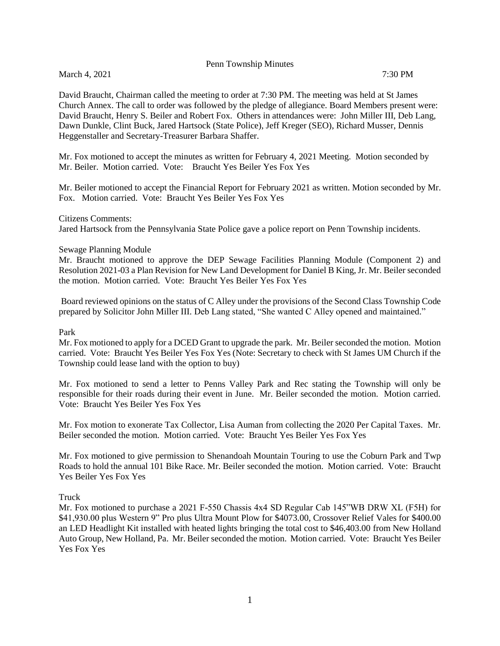Penn Township Minutes

March 4, 2021 7:30 PM

David Braucht, Chairman called the meeting to order at 7:30 PM. The meeting was held at St James Church Annex. The call to order was followed by the pledge of allegiance. Board Members present were: David Braucht, Henry S. Beiler and Robert Fox. Others in attendances were: John Miller III, Deb Lang, Dawn Dunkle, Clint Buck, Jared Hartsock (State Police), Jeff Kreger (SEO), Richard Musser, Dennis Heggenstaller and Secretary-Treasurer Barbara Shaffer.

Mr. Fox motioned to accept the minutes as written for February 4, 2021 Meeting. Motion seconded by Mr. Beiler. Motion carried. Vote: Braucht Yes Beiler Yes Fox Yes

Mr. Beiler motioned to accept the Financial Report for February 2021 as written. Motion seconded by Mr. Fox. Motion carried. Vote: Braucht Yes Beiler Yes Fox Yes

## Citizens Comments:

Jared Hartsock from the Pennsylvania State Police gave a police report on Penn Township incidents.

## Sewage Planning Module

Mr. Braucht motioned to approve the DEP Sewage Facilities Planning Module (Component 2) and Resolution 2021-03 a Plan Revision for New Land Development for Daniel B King, Jr. Mr. Beiler seconded the motion. Motion carried. Vote: Braucht Yes Beiler Yes Fox Yes

Board reviewed opinions on the status of C Alley under the provisions of the Second Class Township Code prepared by Solicitor John Miller III. Deb Lang stated, "She wanted C Alley opened and maintained."

## Park

Mr. Fox motioned to apply for a DCED Grant to upgrade the park. Mr. Beiler seconded the motion. Motion carried. Vote: Braucht Yes Beiler Yes Fox Yes (Note: Secretary to check with St James UM Church if the Township could lease land with the option to buy)

Mr. Fox motioned to send a letter to Penns Valley Park and Rec stating the Township will only be responsible for their roads during their event in June. Mr. Beiler seconded the motion. Motion carried. Vote: Braucht Yes Beiler Yes Fox Yes

Mr. Fox motion to exonerate Tax Collector, Lisa Auman from collecting the 2020 Per Capital Taxes. Mr. Beiler seconded the motion. Motion carried. Vote: Braucht Yes Beiler Yes Fox Yes

Mr. Fox motioned to give permission to Shenandoah Mountain Touring to use the Coburn Park and Twp Roads to hold the annual 101 Bike Race. Mr. Beiler seconded the motion. Motion carried. Vote: Braucht Yes Beiler Yes Fox Yes

## Truck

Mr. Fox motioned to purchase a 2021 F-550 Chassis 4x4 SD Regular Cab 145"WB DRW XL (F5H) for \$41,930.00 plus Western 9" Pro plus Ultra Mount Plow for \$4073.00, Crossover Relief Vales for \$400.00 an LED Headlight Kit installed with heated lights bringing the total cost to \$46,403.00 from New Holland Auto Group, New Holland, Pa. Mr. Beiler seconded the motion. Motion carried. Vote: Braucht Yes Beiler Yes Fox Yes